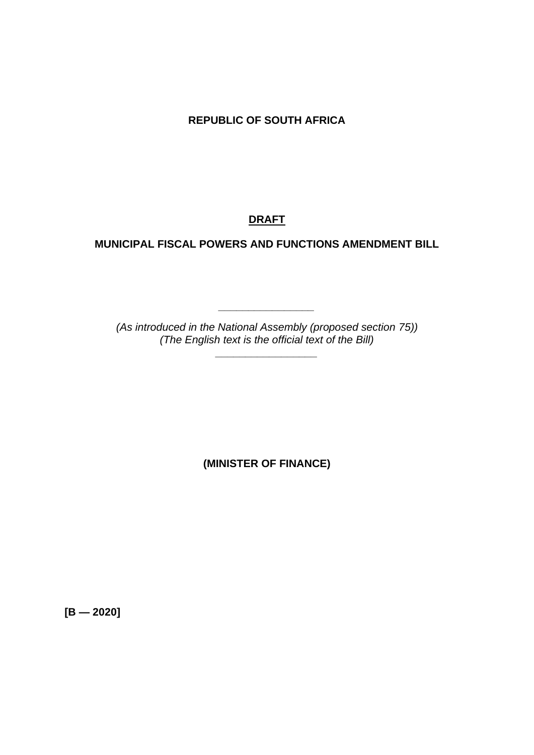**REPUBLIC OF SOUTH AFRICA**

# **DRAFT**

# **MUNICIPAL FISCAL POWERS AND FUNCTIONS AMENDMENT BILL**

*(As introduced in the National Assembly (proposed section 75)) (The English text is the official text of the Bill)*

*\_\_\_\_\_\_\_\_\_\_\_\_\_\_\_\_\_*

*\_\_\_\_\_\_\_\_\_\_\_\_\_\_\_\_*

**(MINISTER OF FINANCE)**

**[B — 2020]**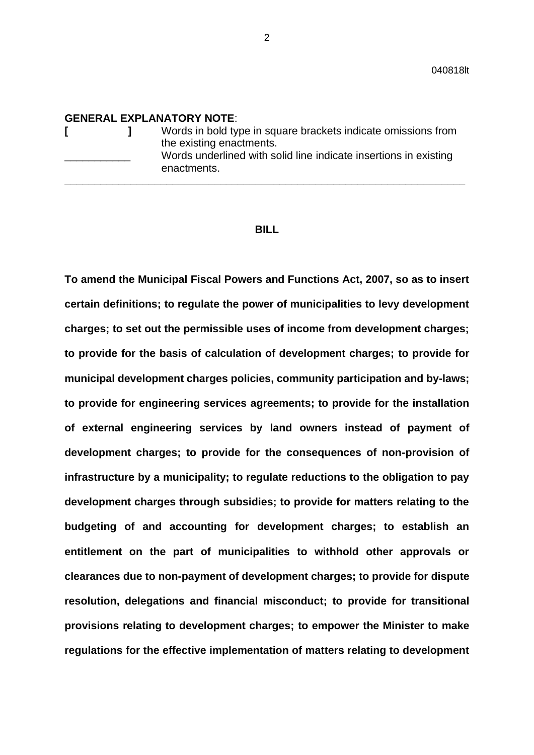#### **GENERAL EXPLANATORY NOTE**:

|  |  | Words in bold type in square brackets indicate omissions from<br>the existing enactments.<br>Words underlined with solid line indicate insertions in existing<br>enactments. |
|--|--|------------------------------------------------------------------------------------------------------------------------------------------------------------------------------|
|--|--|------------------------------------------------------------------------------------------------------------------------------------------------------------------------------|

#### **BILL**

**To amend the Municipal Fiscal Powers and Functions Act, 2007, so as to insert certain definitions; to regulate the power of municipalities to levy development charges; to set out the permissible uses of income from development charges; to provide for the basis of calculation of development charges; to provide for municipal development charges policies, community participation and by-laws; to provide for engineering services agreements; to provide for the installation of external engineering services by land owners instead of payment of development charges; to provide for the consequences of non-provision of infrastructure by a municipality; to regulate reductions to the obligation to pay development charges through subsidies; to provide for matters relating to the budgeting of and accounting for development charges; to establish an entitlement on the part of municipalities to withhold other approvals or clearances due to non-payment of development charges; to provide for dispute resolution, delegations and financial misconduct; to provide for transitional provisions relating to development charges; to empower the Minister to make regulations for the effective implementation of matters relating to development**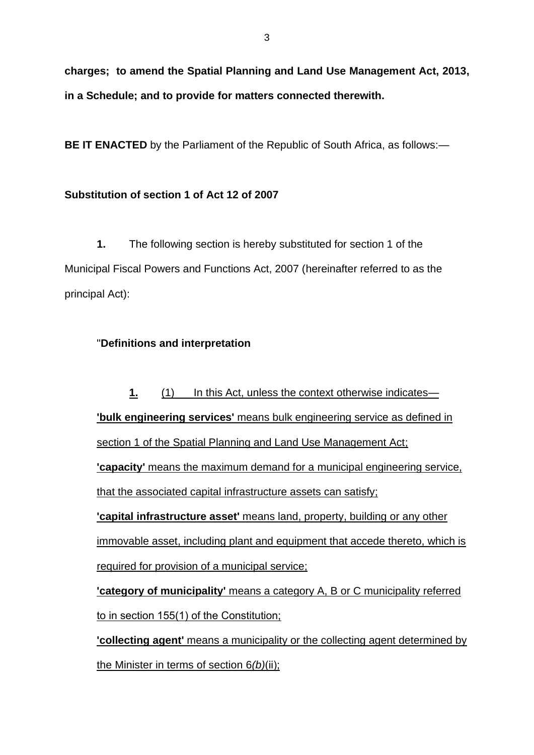**charges; to amend the Spatial Planning and Land Use Management Act, 2013, in a Schedule; and to provide for matters connected therewith.**

**BE IT ENACTED** by the Parliament of the Republic of South Africa, as follows:—

# **Substitution of section 1 of Act 12 of 2007**

**1.** The following section is hereby substituted for section 1 of the Municipal Fiscal Powers and Functions Act, 2007 (hereinafter referred to as the principal Act):

# "**Definitions and interpretation**

**1.** (1) In this Act, unless the context otherwise indicates— **'bulk engineering services'** means bulk engineering service as defined in section 1 of the Spatial Planning and Land Use Management Act; **'capacity'** means the maximum demand for a municipal engineering service, that the associated capital infrastructure assets can satisfy; **'capital infrastructure asset'** means land, property, building or any other immovable asset, including plant and equipment that accede thereto, which is required for provision of a municipal service; **'category of municipality'** means a category A, B or C municipality referred to in section 155(1) of the Constitution; **'collecting agent'** means a municipality or the collecting agent determined by the Minister in terms of section 6*(b)*(ii);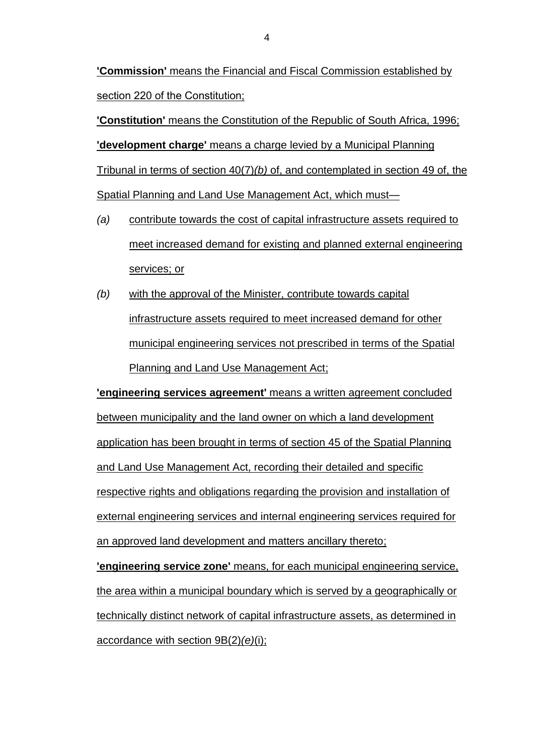**'Commission'** means the Financial and Fiscal Commission established by section 220 of the Constitution;

**'Constitution'** means the Constitution of the Republic of South Africa, 1996; **'development charge'** means a charge levied by a Municipal Planning Tribunal in terms of section 40(7)*(b)* of, and contemplated in section 49 of, the Spatial Planning and Land Use Management Act, which must—

- *(a)* contribute towards the cost of capital infrastructure assets required to meet increased demand for existing and planned external engineering services; or
- *(b)* with the approval of the Minister, contribute towards capital infrastructure assets required to meet increased demand for other municipal engineering services not prescribed in terms of the Spatial Planning and Land Use Management Act;

**'engineering services agreement'** means a written agreement concluded between municipality and the land owner on which a land development application has been brought in terms of section 45 of the Spatial Planning and Land Use Management Act, recording their detailed and specific respective rights and obligations regarding the provision and installation of external engineering services and internal engineering services required for an approved land development and matters ancillary thereto;

**'engineering service zone'** means, for each municipal engineering service, the area within a municipal boundary which is served by a geographically or technically distinct network of capital infrastructure assets, as determined in accordance with section 9B(2)*(e)*(i);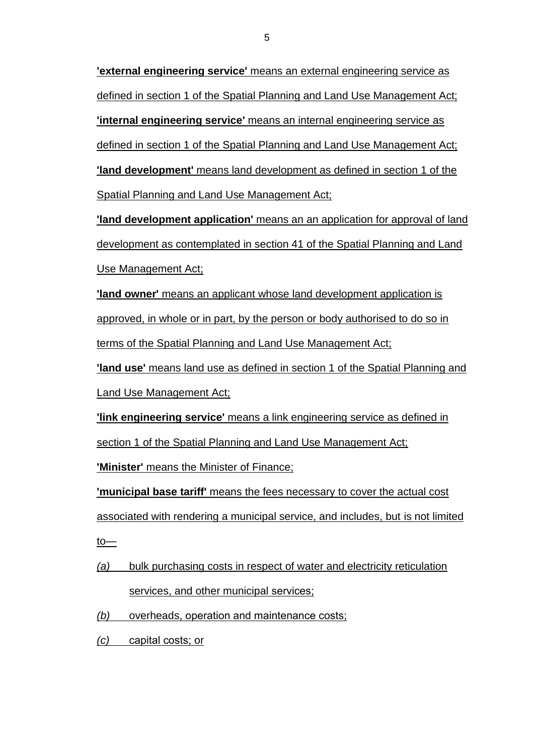**'external engineering service'** means an external engineering service as defined in section 1 of the Spatial Planning and Land Use Management Act; **'internal engineering service'** means an internal engineering service as defined in section 1 of the Spatial Planning and Land Use Management Act; **'land development'** means land development as defined in section 1 of the Spatial Planning and Land Use Management Act;

**'land development application'** means an an application for approval of land development as contemplated in section 41 of the Spatial Planning and Land Use Management Act;

**'land owner'** means an applicant whose land development application is approved, in whole or in part, by the person or body authorised to do so in terms of the Spatial Planning and Land Use Management Act;

**'land use'** means land use as defined in section 1 of the Spatial Planning and Land Use Management Act;

**'link engineering service'** means a link engineering service as defined in section 1 of the Spatial Planning and Land Use Management Act;

**'Minister'** means the Minister of Finance;

**'municipal base tariff'** means the fees necessary to cover the actual cost associated with rendering a municipal service, and includes, but is not limited  $to$ </u>

*(a)* bulk purchasing costs in respect of water and electricity reticulation services, and other municipal services;

*(b)* overheads, operation and maintenance costs;

*(c)* capital costs; or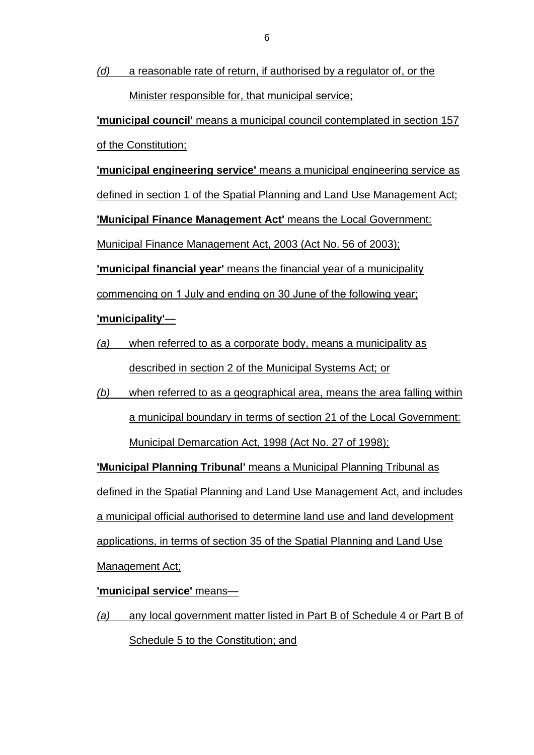*(d)* a reasonable rate of return, if authorised by a regulator of, or the Minister responsible for, that municipal service;

**'municipal council'** means a municipal council contemplated in section 157 of the Constitution;

**'municipal engineering service'** means a municipal engineering service as defined in section 1 of the Spatial Planning and Land Use Management Act; **'Municipal Finance Management Act'** means the Local Government: Municipal Finance Management Act, 2003 (Act No. 56 of 2003); **'municipal financial year'** means the financial year of a municipality

commencing on 1 July and ending on 30 June of the following year;

# **'municipality'**—

- *(a)* when referred to as a corporate body, means a municipality as described in section 2 of the Municipal Systems Act; or
- *(b)* when referred to as a geographical area, means the area falling within a municipal boundary in terms of section 21 of the Local Government: Municipal Demarcation Act, 1998 (Act No. 27 of 1998);

**'Municipal Planning Tribunal'** means a Municipal Planning Tribunal as defined in the Spatial Planning and Land Use Management Act, and includes a municipal official authorised to determine land use and land development applications, in terms of section 35 of the Spatial Planning and Land Use Management Act;

**'municipal service'** means—

*(a)* any local government matter listed in Part B of Schedule 4 or Part B of Schedule 5 to the Constitution; and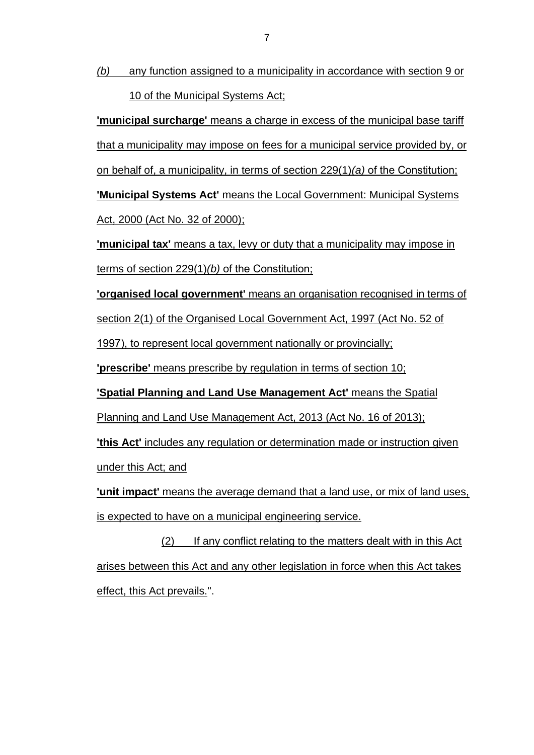*(b)* any function assigned to a municipality in accordance with section 9 or 10 of the Municipal Systems Act;

**'municipal surcharge'** means a charge in excess of the municipal base tariff that a municipality may impose on fees for a municipal service provided by, or on behalf of, a municipality, in terms of section 229(1)*(a)* of the Constitution; **'Municipal Systems Act'** means the Local Government: Municipal Systems Act, 2000 (Act No. 32 of 2000);

**'municipal tax'** means a tax, levy or duty that a municipality may impose in terms of section 229(1)*(b)* of the Constitution;

**'organised local government'** means an organisation recognised in terms of

section 2(1) of the Organised Local Government Act, 1997 (Act No. 52 of

1997), to represent local government nationally or provincially;

**'prescribe'** means prescribe by regulation in terms of section 10;

**'Spatial Planning and Land Use Management Act'** means the Spatial

Planning and Land Use Management Act, 2013 (Act No. 16 of 2013);

**'this Act'** includes any regulation or determination made or instruction given under this Act; and

**'unit impact'** means the average demand that a land use, or mix of land uses, is expected to have on a municipal engineering service.

(2) If any conflict relating to the matters dealt with in this Act arises between this Act and any other legislation in force when this Act takes effect, this Act prevails.".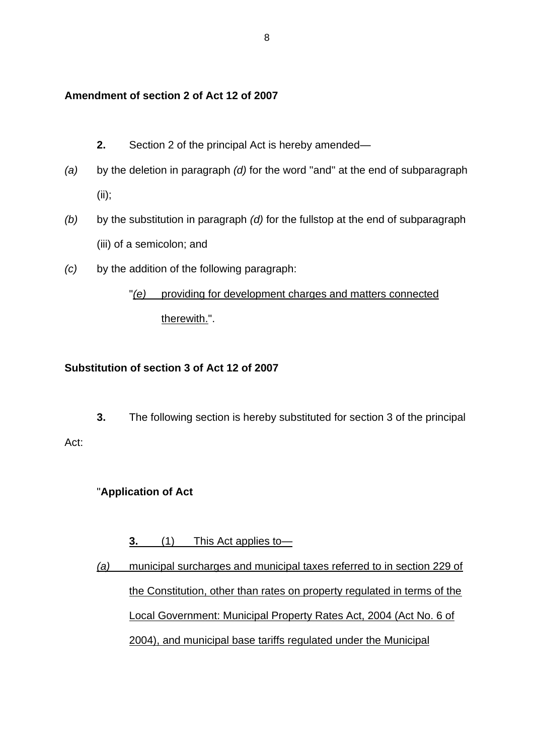# **Amendment of section 2 of Act 12 of 2007**

- **2.** Section 2 of the principal Act is hereby amended—
- *(a)* by the deletion in paragraph *(d)* for the word ''and'' at the end of subparagraph (ii);
- *(b)* by the substitution in paragraph *(d)* for the fullstop at the end of subparagraph (iii) of a semicolon; and
- *(c)* by the addition of the following paragraph:

# "*(e)* providing for development charges and matters connected therewith.".

# **Substitution of section 3 of Act 12 of 2007**

**3.** The following section is hereby substituted for section 3 of the principal

# "**Application of Act**

Act:

# **3.** (1) This Act applies to—

*(a)* municipal surcharges and municipal taxes referred to in section 229 of the Constitution, other than rates on property regulated in terms of the Local Government: Municipal Property Rates Act, 2004 (Act No. 6 of 2004), and municipal base tariffs regulated under the Municipal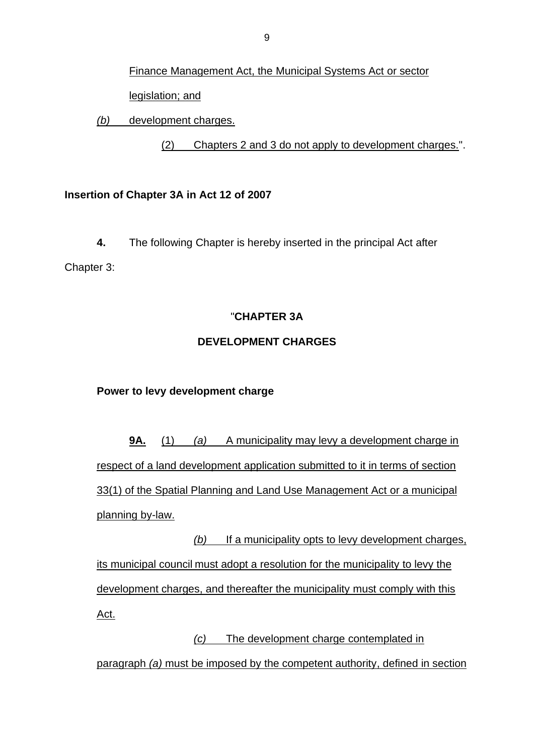Finance Management Act, the Municipal Systems Act or sector legislation; and

*(b)* development charges.

(2) Chapters 2 and 3 do not apply to development charges.".

# **Insertion of Chapter 3A in Act 12 of 2007**

**4.** The following Chapter is hereby inserted in the principal Act after Chapter 3:

# "**CHAPTER 3A**

# **DEVELOPMENT CHARGES**

# **Power to levy development charge**

**9A.** (1) *(a)* A municipality may levy a development charge in respect of a land development application submitted to it in terms of section 33(1) of the Spatial Planning and Land Use Management Act or a municipal planning by-law.

*(b)* If a municipality opts to levy development charges, its municipal council must adopt a resolution for the municipality to levy the development charges, and thereafter the municipality must comply with this Act.

*(c)* The development charge contemplated in

paragraph *(a)* must be imposed by the competent authority, defined in section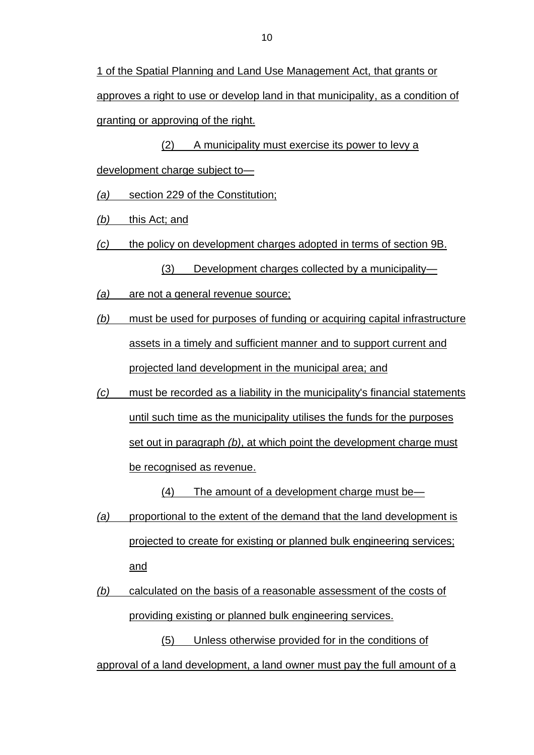1 of the Spatial Planning and Land Use Management Act, that grants or approves a right to use or develop land in that municipality, as a condition of granting or approving of the right.

(2) A municipality must exercise its power to levy a development charge subject to—

*(a)* section 229 of the Constitution;

*(b)* this Act; and

*(c)* the policy on development charges adopted in terms of section 9B.

(3) Development charges collected by a municipality—

- *(a)* are not a general revenue source;
- *(b)* must be used for purposes of funding or acquiring capital infrastructure assets in a timely and sufficient manner and to support current and projected land development in the municipal area; and
- *(c)* must be recorded as a liability in the municipality's financial statements until such time as the municipality utilises the funds for the purposes set out in paragraph *(b)*, at which point the development charge must be recognised as revenue.

(4) The amount of a development charge must be—

- *(a)* proportional to the extent of the demand that the land development is projected to create for existing or planned bulk engineering services; and
- *(b)* calculated on the basis of a reasonable assessment of the costs of providing existing or planned bulk engineering services.

(5) Unless otherwise provided for in the conditions of approval of a land development, a land owner must pay the full amount of a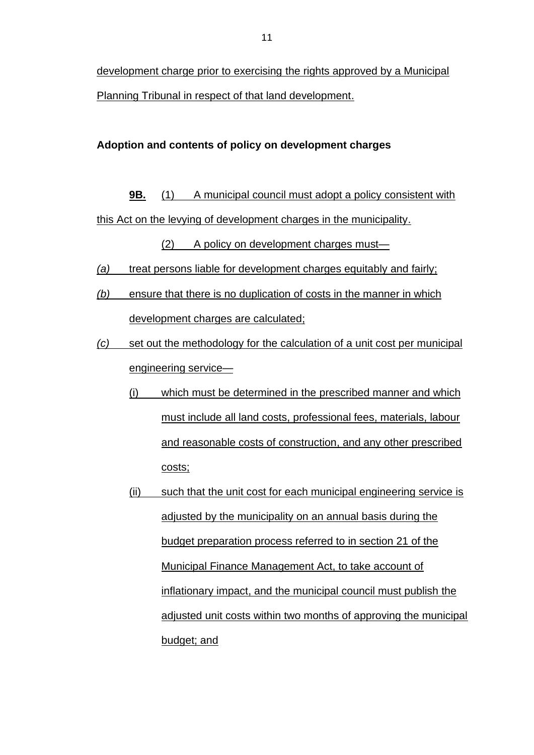development charge prior to exercising the rights approved by a Municipal Planning Tribunal in respect of that land development.

# **Adoption and contents of policy on development charges**

**9B.** (1) A municipal council must adopt a policy consistent with this Act on the levying of development charges in the municipality.

(2) A policy on development charges must—

- *(a)* treat persons liable for development charges equitably and fairly;
- *(b)* ensure that there is no duplication of costs in the manner in which development charges are calculated;
- *(c)* set out the methodology for the calculation of a unit cost per municipal engineering service—
	- (i) which must be determined in the prescribed manner and which must include all land costs, professional fees, materials, labour and reasonable costs of construction, and any other prescribed costs;
	- (ii) such that the unit cost for each municipal engineering service is adjusted by the municipality on an annual basis during the budget preparation process referred to in section 21 of the Municipal Finance Management Act, to take account of inflationary impact, and the municipal council must publish the adjusted unit costs within two months of approving the municipal budget; and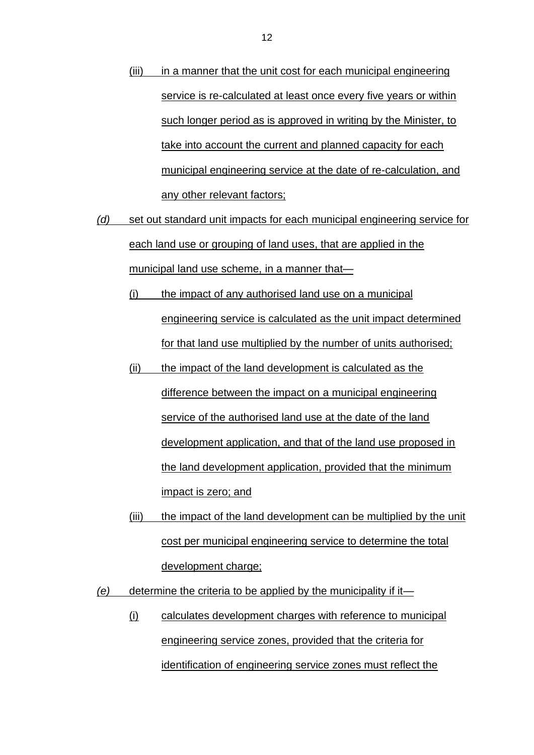- (iii) in a manner that the unit cost for each municipal engineering service is re-calculated at least once every five years or within such longer period as is approved in writing by the Minister, to take into account the current and planned capacity for each municipal engineering service at the date of re-calculation, and any other relevant factors;
- *(d)* set out standard unit impacts for each municipal engineering service for each land use or grouping of land uses, that are applied in the municipal land use scheme, in a manner that—
	- (i) the impact of any authorised land use on a municipal engineering service is calculated as the unit impact determined for that land use multiplied by the number of units authorised;
	- (ii) the impact of the land development is calculated as the difference between the impact on a municipal engineering service of the authorised land use at the date of the land development application, and that of the land use proposed in the land development application, provided that the minimum impact is zero; and
	- (iii) the impact of the land development can be multiplied by the unit cost per municipal engineering service to determine the total development charge;
- *(e)* determine the criteria to be applied by the municipality if it—
	- (i) calculates development charges with reference to municipal engineering service zones, provided that the criteria for identification of engineering service zones must reflect the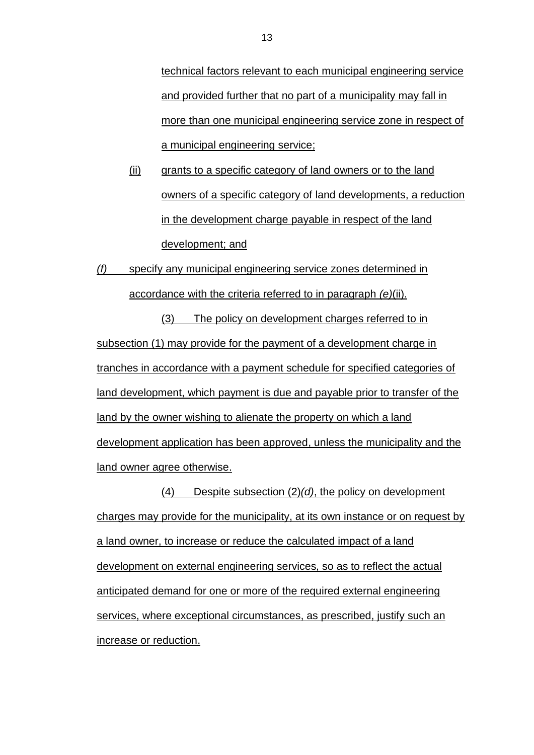technical factors relevant to each municipal engineering service and provided further that no part of a municipality may fall in more than one municipal engineering service zone in respect of a municipal engineering service;

(ii) grants to a specific category of land owners or to the land owners of a specific category of land developments, a reduction in the development charge payable in respect of the land development; and

*(f)* specify any municipal engineering service zones determined in accordance with the criteria referred to in paragraph *(e)*(ii).

(3) The policy on development charges referred to in subsection (1) may provide for the payment of a development charge in tranches in accordance with a payment schedule for specified categories of land development, which payment is due and payable prior to transfer of the land by the owner wishing to alienate the property on which a land development application has been approved, unless the municipality and the land owner agree otherwise.

(4) Despite subsection (2)*(d)*, the policy on development charges may provide for the municipality, at its own instance or on request by a land owner, to increase or reduce the calculated impact of a land development on external engineering services, so as to reflect the actual anticipated demand for one or more of the required external engineering services, where exceptional circumstances, as prescribed, justify such an increase or reduction.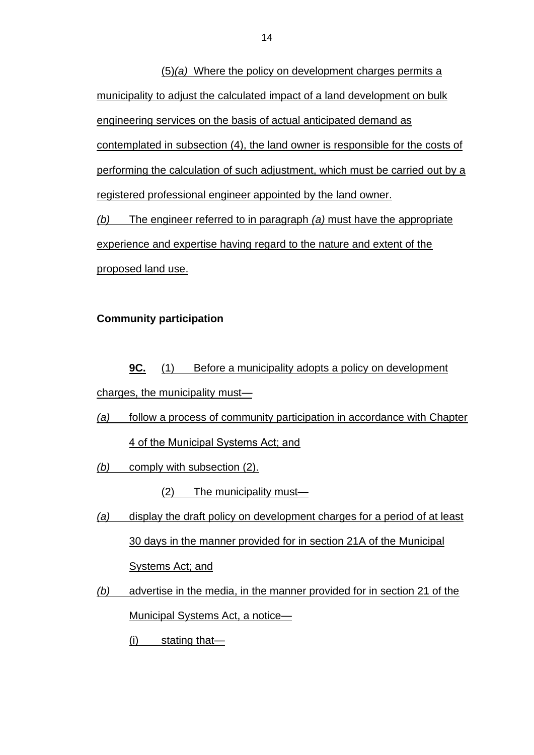(5)*(a)* Where the policy on development charges permits a municipality to adjust the calculated impact of a land development on bulk engineering services on the basis of actual anticipated demand as contemplated in subsection (4), the land owner is responsible for the costs of performing the calculation of such adjustment, which must be carried out by a registered professional engineer appointed by the land owner.

*(b)* The engineer referred to in paragraph *(a)* must have the appropriate experience and expertise having regard to the nature and extent of the proposed land use.

# **Community participation**

**9C.** (1) Before a municipality adopts a policy on development charges, the municipality must—

- *(a)* follow a process of community participation in accordance with Chapter 4 of the Municipal Systems Act; and
- *(b)* comply with subsection (2).

(2) The municipality must—

- *(a)* display the draft policy on development charges for a period of at least 30 days in the manner provided for in section 21A of the Municipal Systems Act; and
- *(b)* advertise in the media, in the manner provided for in section 21 of the Municipal Systems Act, a notice—
	- (i) stating that—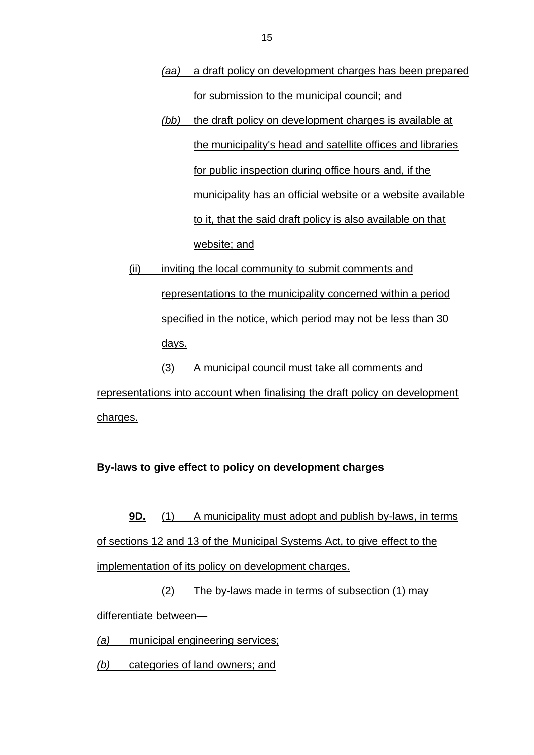- *(aa)* a draft policy on development charges has been prepared for submission to the municipal council; and
- *(bb)* the draft policy on development charges is available at the municipality's head and satellite offices and libraries for public inspection during office hours and, if the municipality has an official website or a website available to it, that the said draft policy is also available on that website; and
- (ii) inviting the local community to submit comments and representations to the municipality concerned within a period specified in the notice, which period may not be less than 30 days.

(3) A municipal council must take all comments and representations into account when finalising the draft policy on development charges.

# **By-laws to give effect to policy on development charges**

**9D.** (1) A municipality must adopt and publish by-laws, in terms of sections 12 and 13 of the Municipal Systems Act, to give effect to the implementation of its policy on development charges.

(2) The by-laws made in terms of subsection (1) may differentiate between—

*(a)* municipal engineering services;

*(b)* categories of land owners; and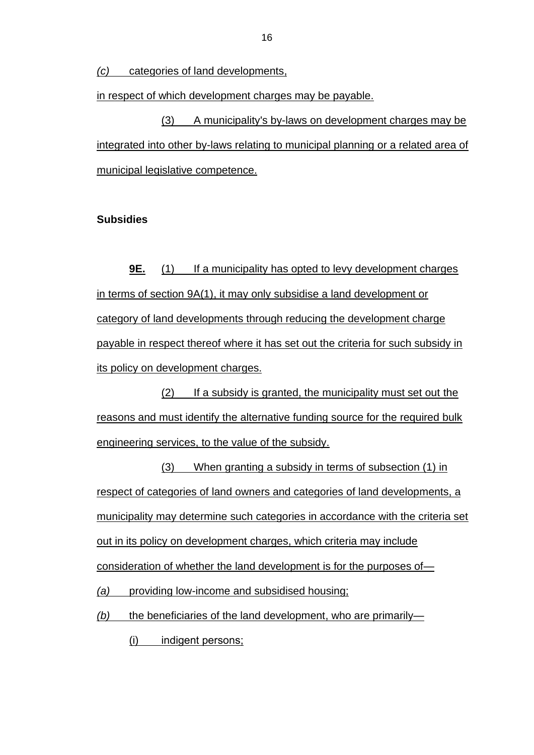*(c)* categories of land developments,

in respect of which development charges may be payable.

(3) A municipality's by-laws on development charges may be integrated into other by-laws relating to municipal planning or a related area of municipal legislative competence.

#### **Subsidies**

**9E.** (1) If a municipality has opted to levy development charges in terms of section 9A(1), it may only subsidise a land development or category of land developments through reducing the development charge payable in respect thereof where it has set out the criteria for such subsidy in its policy on development charges.

(2) If a subsidy is granted, the municipality must set out the reasons and must identify the alternative funding source for the required bulk engineering services, to the value of the subsidy.

(3) When granting a subsidy in terms of subsection (1) in respect of categories of land owners and categories of land developments, a municipality may determine such categories in accordance with the criteria set out in its policy on development charges, which criteria may include consideration of whether the land development is for the purposes of—

*(a)* providing low-income and subsidised housing;

*(b)* the beneficiaries of the land development, who are primarily—

(i) indigent persons;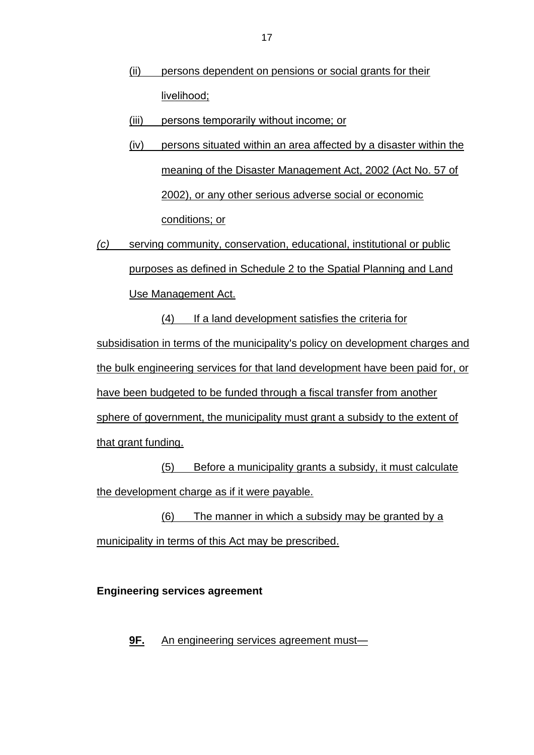- (ii) persons dependent on pensions or social grants for their livelihood;
- (iii) persons temporarily without income; or
- (iv) persons situated within an area affected by a disaster within the meaning of the Disaster Management Act, 2002 (Act No. 57 of 2002), or any other serious adverse social or economic conditions; or
- *(c)* serving community, conservation, educational, institutional or public purposes as defined in Schedule 2 to the Spatial Planning and Land Use Management Act. (4) If a land development satisfies the criteria for subsidisation in terms of the municipality's policy on development charges and the bulk engineering services for that land development have been paid for, or have been budgeted to be funded through a fiscal transfer from another sphere of government, the municipality must grant a subsidy to the extent of that grant funding.

(5) Before a municipality grants a subsidy, it must calculate the development charge as if it were payable.

(6) The manner in which a subsidy may be granted by a municipality in terms of this Act may be prescribed.

**Engineering services agreement**

**9F.** An engineering services agreement must—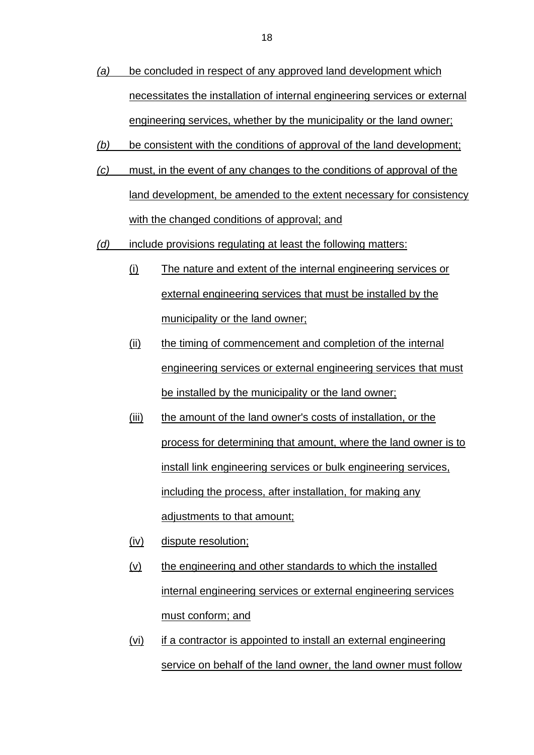- *(a)* be concluded in respect of any approved land development which necessitates the installation of internal engineering services or external engineering services, whether by the municipality or the land owner;
- *(b)* be consistent with the conditions of approval of the land development;
- *(c)* must, in the event of any changes to the conditions of approval of the land development, be amended to the extent necessary for consistency with the changed conditions of approval; and
- *(d)* include provisions regulating at least the following matters:
	- (i) The nature and extent of the internal engineering services or external engineering services that must be installed by the municipality or the land owner;
	- (ii) the timing of commencement and completion of the internal engineering services or external engineering services that must be installed by the municipality or the land owner;
	- (iii) the amount of the land owner's costs of installation, or the process for determining that amount, where the land owner is to install link engineering services or bulk engineering services, including the process, after installation, for making any adjustments to that amount;
	- (iv) dispute resolution;
	- $(v)$  the engineering and other standards to which the installed internal engineering services or external engineering services must conform; and
	- (vi) if a contractor is appointed to install an external engineering service on behalf of the land owner, the land owner must follow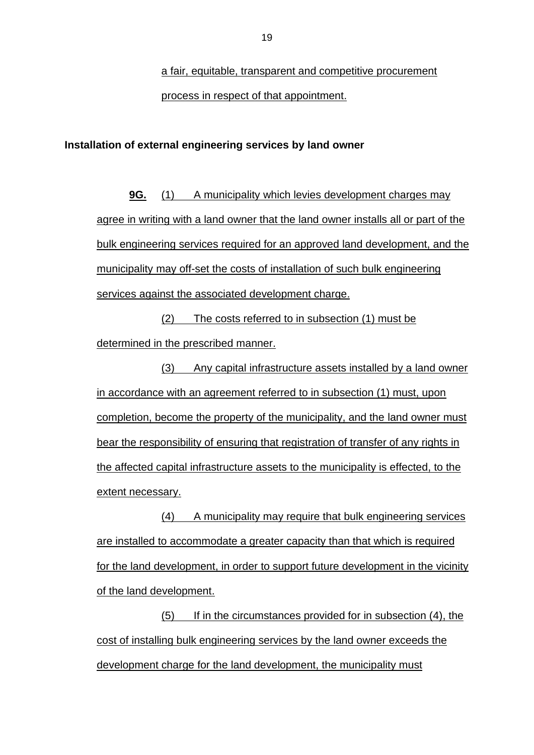a fair, equitable, transparent and competitive procurement process in respect of that appointment.

#### **Installation of external engineering services by land owner**

**9G.** (1) A municipality which levies development charges may agree in writing with a land owner that the land owner installs all or part of the bulk engineering services required for an approved land development, and the municipality may off-set the costs of installation of such bulk engineering services against the associated development charge.

(2) The costs referred to in subsection (1) must be determined in the prescribed manner.

(3) Any capital infrastructure assets installed by a land owner in accordance with an agreement referred to in subsection (1) must, upon completion, become the property of the municipality, and the land owner must bear the responsibility of ensuring that registration of transfer of any rights in the affected capital infrastructure assets to the municipality is effected, to the extent necessary.

(4) A municipality may require that bulk engineering services are installed to accommodate a greater capacity than that which is required for the land development, in order to support future development in the vicinity of the land development.

(5) If in the circumstances provided for in subsection (4), the cost of installing bulk engineering services by the land owner exceeds the development charge for the land development, the municipality must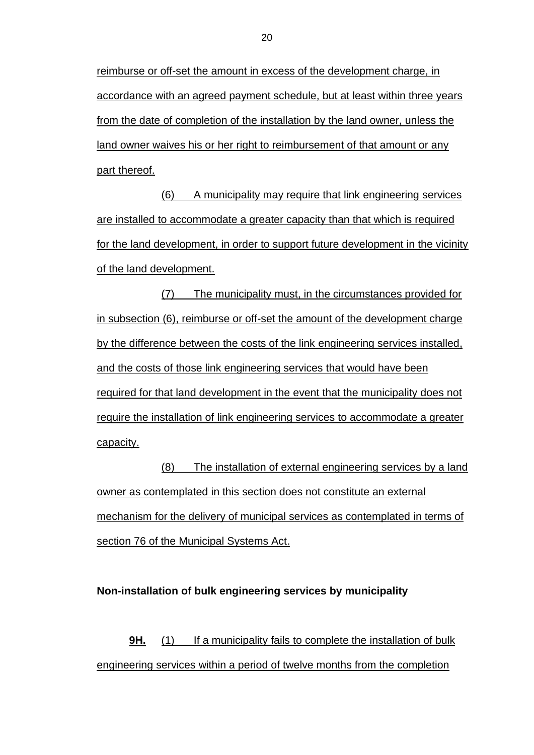reimburse or off-set the amount in excess of the development charge, in accordance with an agreed payment schedule, but at least within three years from the date of completion of the installation by the land owner, unless the land owner waives his or her right to reimbursement of that amount or any part thereof.

(6) A municipality may require that link engineering services are installed to accommodate a greater capacity than that which is required for the land development, in order to support future development in the vicinity of the land development.

(7) The municipality must, in the circumstances provided for in subsection (6), reimburse or off-set the amount of the development charge by the difference between the costs of the link engineering services installed, and the costs of those link engineering services that would have been required for that land development in the event that the municipality does not require the installation of link engineering services to accommodate a greater capacity.

(8) The installation of external engineering services by a land owner as contemplated in this section does not constitute an external mechanism for the delivery of municipal services as contemplated in terms of section 76 of the Municipal Systems Act.

#### **Non-installation of bulk engineering services by municipality**

**9H.** (1) If a municipality fails to complete the installation of bulk engineering services within a period of twelve months from the completion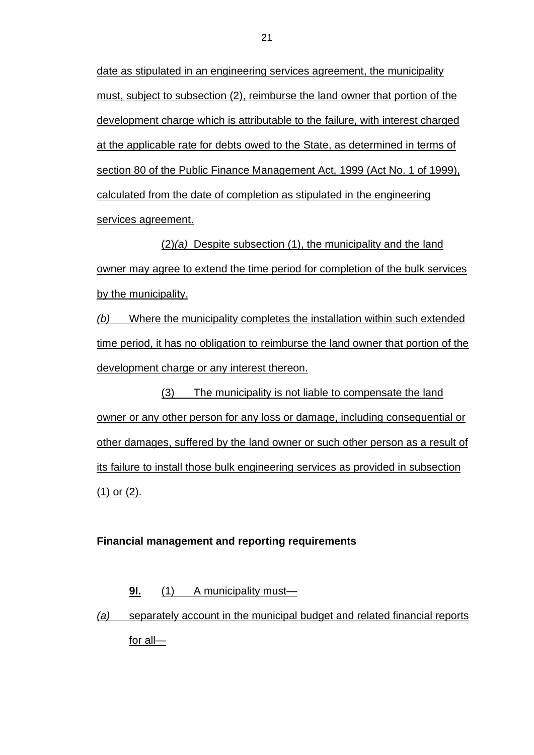date as stipulated in an engineering services agreement, the municipality must, subject to subsection (2), reimburse the land owner that portion of the development charge which is attributable to the failure, with interest charged at the applicable rate for debts owed to the State, as determined in terms of section 80 of the Public Finance Management Act, 1999 (Act No. 1 of 1999), calculated from the date of completion as stipulated in the engineering services agreement.

(2)*(a)* Despite subsection (1), the municipality and the land owner may agree to extend the time period for completion of the bulk services by the municipality.

*(b)* Where the municipality completes the installation within such extended time period, it has no obligation to reimburse the land owner that portion of the development charge or any interest thereon.

(3) The municipality is not liable to compensate the land owner or any other person for any loss or damage, including consequential or other damages, suffered by the land owner or such other person as a result of its failure to install those bulk engineering services as provided in subsection (1) or (2).

#### **Financial management and reporting requirements**

#### **9I.** (1) A municipality must—

*(a)* separately account in the municipal budget and related financial reports for all—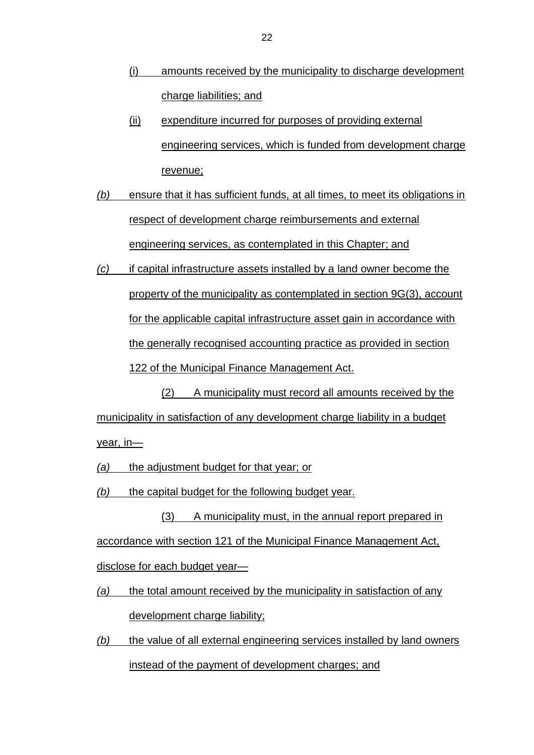- (i) amounts received by the municipality to discharge development charge liabilities; and
- (ii) expenditure incurred for purposes of providing external engineering services, which is funded from development charge revenue;
- *(b)* ensure that it has sufficient funds, at all times, to meet its obligations in respect of development charge reimbursements and external engineering services, as contemplated in this Chapter; and
- *(c)* if capital infrastructure assets installed by a land owner become the property of the municipality as contemplated in section 9G(3), account for the applicable capital infrastructure asset gain in accordance with the generally recognised accounting practice as provided in section 122 of the Municipal Finance Management Act.

(2) A municipality must record all amounts received by the municipality in satisfaction of any development charge liability in a budget year, in—

*(a)* the adjustment budget for that year; or

*(b)* the capital budget for the following budget year.

(3) A municipality must, in the annual report prepared in accordance with section 121 of the Municipal Finance Management Act, disclose for each budget year—

- *(a)* the total amount received by the municipality in satisfaction of any development charge liability;
- *(b)* the value of all external engineering services installed by land owners instead of the payment of development charges; and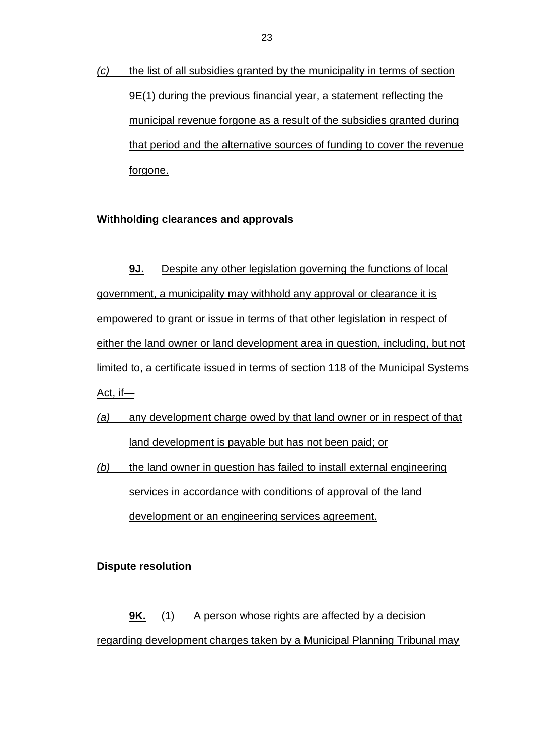*(c)* the list of all subsidies granted by the municipality in terms of section 9E(1) during the previous financial year, a statement reflecting the municipal revenue forgone as a result of the subsidies granted during that period and the alternative sources of funding to cover the revenue forgone.

# **Withholding clearances and approvals**

**9J.** Despite any other legislation governing the functions of local government, a municipality may withhold any approval or clearance it is empowered to grant or issue in terms of that other legislation in respect of either the land owner or land development area in question, including, but not limited to, a certificate issued in terms of section 118 of the Municipal Systems Act, if—

- *(a)* any development charge owed by that land owner or in respect of that land development is payable but has not been paid; or
- *(b)* the land owner in question has failed to install external engineering services in accordance with conditions of approval of the land development or an engineering services agreement.

#### **Dispute resolution**

**9K.** (1) A person whose rights are affected by a decision regarding development charges taken by a Municipal Planning Tribunal may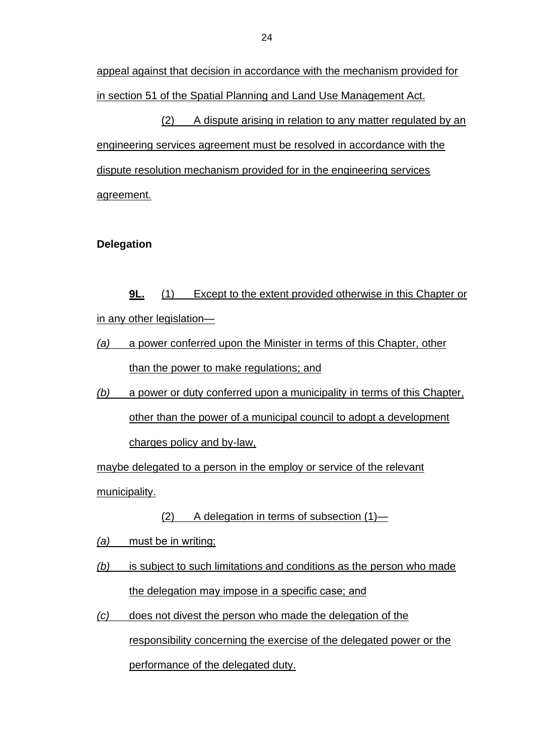appeal against that decision in accordance with the mechanism provided for in section 51 of the Spatial Planning and Land Use Management Act.

(2) A dispute arising in relation to any matter regulated by an engineering services agreement must be resolved in accordance with the dispute resolution mechanism provided for in the engineering services agreement.

# **Delegation**

**9L.** (1) Except to the extent provided otherwise in this Chapter or in any other legislation—

*(a)* a power conferred upon the Minister in terms of this Chapter, other than the power to make regulations; and

*(b)* a power or duty conferred upon a municipality in terms of this Chapter, other than the power of a municipal council to adopt a development charges policy and by-law,

maybe delegated to a person in the employ or service of the relevant municipality.

(2) A delegation in terms of subsection (1)—

*(a)* must be in writing;

*(b)* is subject to such limitations and conditions as the person who made the delegation may impose in a specific case; and

*(c)* does not divest the person who made the delegation of the responsibility concerning the exercise of the delegated power or the performance of the delegated duty.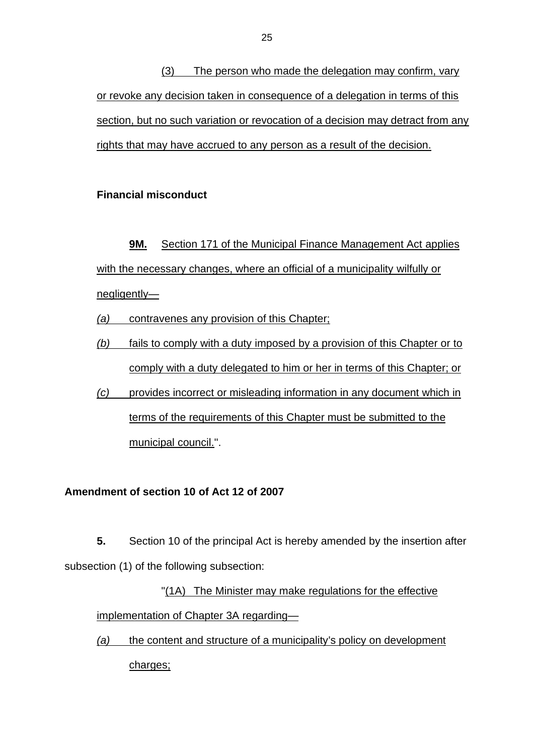(3) The person who made the delegation may confirm, vary or revoke any decision taken in consequence of a delegation in terms of this section, but no such variation or revocation of a decision may detract from any rights that may have accrued to any person as a result of the decision.

# **Financial misconduct**

**9M.** Section 171 of the Municipal Finance Management Act applies with the necessary changes, where an official of a municipality wilfully or negligently—

*(a)* contravenes any provision of this Chapter;

- *(b)* fails to comply with a duty imposed by a provision of this Chapter or to comply with a duty delegated to him or her in terms of this Chapter; or
- *(c)* provides incorrect or misleading information in any document which in terms of the requirements of this Chapter must be submitted to the municipal council.''.

# **Amendment of section 10 of Act 12 of 2007**

**5.** Section 10 of the principal Act is hereby amended by the insertion after subsection (1) of the following subsection:

"(1A) The Minister may make regulations for the effective implementation of Chapter 3A regarding—

*(a)* the content and structure of a municipality's policy on development charges;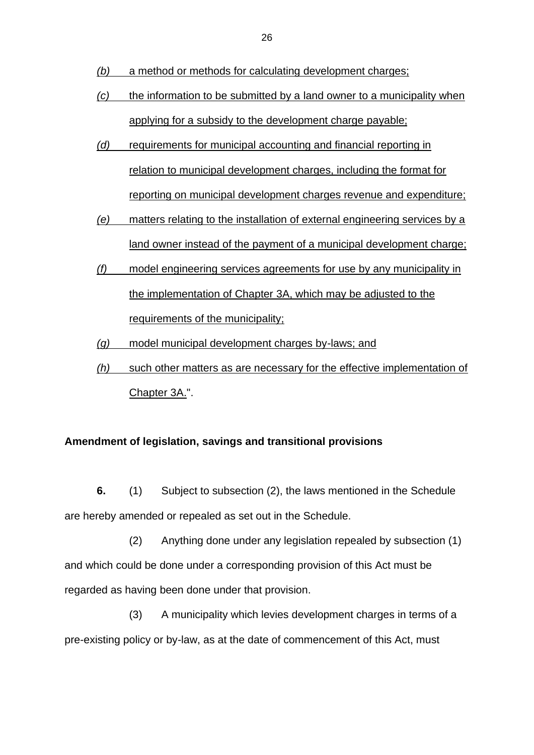- *(b)* a method or methods for calculating development charges;
- *(c)* the information to be submitted by a land owner to a municipality when applying for a subsidy to the development charge payable;
- *(d)* requirements for municipal accounting and financial reporting in relation to municipal development charges, including the format for reporting on municipal development charges revenue and expenditure;
- *(e)* matters relating to the installation of external engineering services by a land owner instead of the payment of a municipal development charge;
- *(f)* model engineering services agreements for use by any municipality in the implementation of Chapter 3A, which may be adjusted to the requirements of the municipality;
- *(g)* model municipal development charges by-laws; and
- *(h)* such other matters as are necessary for the effective implementation of Chapter 3A.".

#### **Amendment of legislation, savings and transitional provisions**

**6.** (1) Subject to subsection (2), the laws mentioned in the Schedule are hereby amended or repealed as set out in the Schedule.

(2) Anything done under any legislation repealed by subsection (1) and which could be done under a corresponding provision of this Act must be regarded as having been done under that provision.

(3) A municipality which levies development charges in terms of a pre-existing policy or by-law, as at the date of commencement of this Act, must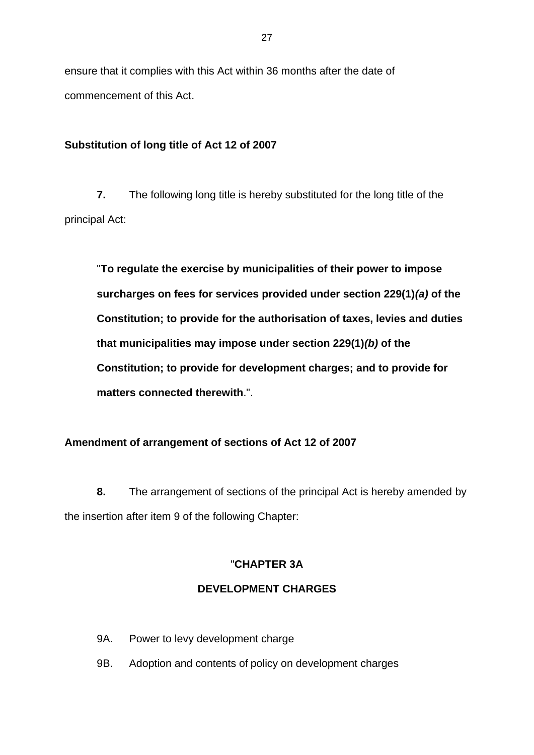ensure that it complies with this Act within 36 months after the date of commencement of this Act.

# **Substitution of long title of Act 12 of 2007**

**7.** The following long title is hereby substituted for the long title of the principal Act:

"**To regulate the exercise by municipalities of their power to impose surcharges on fees for services provided under section 229(1)***(a)* **of the Constitution; to provide for the authorisation of taxes, levies and duties that municipalities may impose under section 229(1)***(b)* **of the Constitution; to provide for development charges; and to provide for matters connected therewith**.".

# **Amendment of arrangement of sections of Act 12 of 2007**

**8.** The arrangement of sections of the principal Act is hereby amended by the insertion after item 9 of the following Chapter:

# "**CHAPTER 3A**

# **DEVELOPMENT CHARGES**

- 9A. Power to levy development charge
- 9B. Adoption and contents of policy on development charges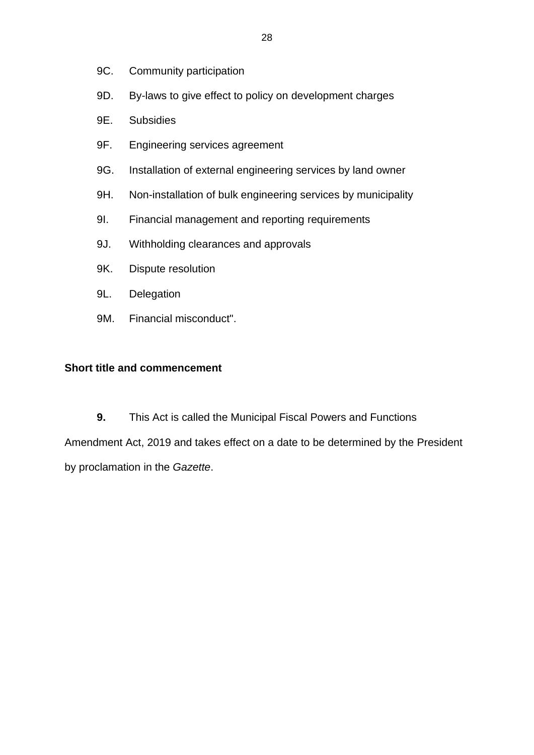- 9C. Community participation
- 9D. By-laws to give effect to policy on development charges
- 9E. Subsidies
- 9F. Engineering services agreement
- 9G. Installation of external engineering services by land owner
- 9H. Non-installation of bulk engineering services by municipality
- 9I. Financial management and reporting requirements
- 9J. Withholding clearances and approvals
- 9K. Dispute resolution
- 9L. Delegation
- 9M. Financial misconduct".

# **Short title and commencement**

**9.** This Act is called the Municipal Fiscal Powers and Functions Amendment Act, 2019 and takes effect on a date to be determined by the President by proclamation in the *Gazette*.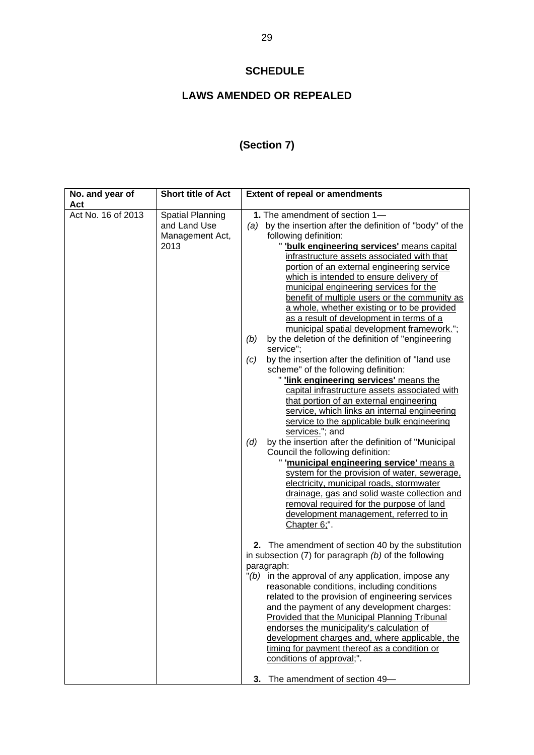# **SCHEDULE**

# **LAWS AMENDED OR REPEALED**

# **(Section 7)**

| No. and year of<br>Act | <b>Short title of Act</b>                                          | <b>Extent of repeal or amendments</b>                                                                                                                                                                                                                                                                                                                                                                                                                                                                                                                                                                                                                                                                                                                                                                                                                                                                                                                                                                                                                                                                                                                                                                                                                                                                                                                                                 |
|------------------------|--------------------------------------------------------------------|---------------------------------------------------------------------------------------------------------------------------------------------------------------------------------------------------------------------------------------------------------------------------------------------------------------------------------------------------------------------------------------------------------------------------------------------------------------------------------------------------------------------------------------------------------------------------------------------------------------------------------------------------------------------------------------------------------------------------------------------------------------------------------------------------------------------------------------------------------------------------------------------------------------------------------------------------------------------------------------------------------------------------------------------------------------------------------------------------------------------------------------------------------------------------------------------------------------------------------------------------------------------------------------------------------------------------------------------------------------------------------------|
| Act No. 16 of 2013     | <b>Spatial Planning</b><br>and Land Use<br>Management Act,<br>2013 | 1. The amendment of section 1-<br>by the insertion after the definition of "body" of the<br>(a)<br>following definition:<br>" 'bulk engineering services' means capital<br>infrastructure assets associated with that<br>portion of an external engineering service<br>which is intended to ensure delivery of<br>municipal engineering services for the<br>benefit of multiple users or the community as<br>a whole, whether existing or to be provided<br>as a result of development in terms of a<br>municipal spatial development framework.";<br>by the deletion of the definition of "engineering<br>(b)<br>service";<br>by the insertion after the definition of "land use<br>(c)<br>scheme" of the following definition:<br>link engineering services' means the<br>capital infrastructure assets associated with<br>that portion of an external engineering<br>service, which links an internal engineering<br>service to the applicable bulk engineering<br>services."; and<br>by the insertion after the definition of "Municipal<br>(d)<br>Council the following definition:<br>'municipal engineering service' means a<br>system for the provision of water, sewerage,<br>electricity, municipal roads, stormwater<br>drainage, gas and solid waste collection and<br>removal required for the purpose of land<br>development management, referred to in<br>Chapter 6;". |
|                        |                                                                    | 2. The amendment of section 40 by the substitution<br>in subsection $(7)$ for paragraph $(b)$ of the following<br>paragraph:<br>$"(b)$ in the approval of any application, impose any<br>reasonable conditions, including conditions<br>related to the provision of engineering services<br>and the payment of any development charges:<br>Provided that the Municipal Planning Tribunal<br>endorses the municipality's calculation of<br>development charges and, where applicable, the<br>timing for payment thereof as a condition or<br>conditions of approval;".<br>The amendment of section 49-<br>3.                                                                                                                                                                                                                                                                                                                                                                                                                                                                                                                                                                                                                                                                                                                                                                           |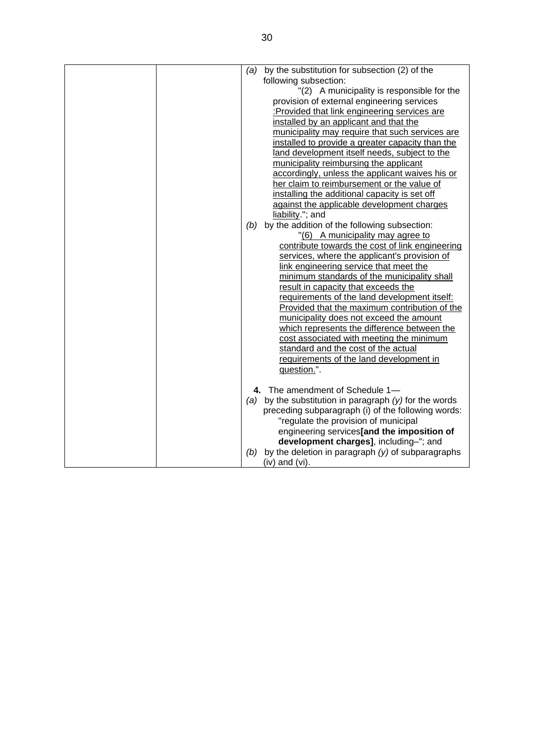| (a) | by the substitution for subsection (2) of the            |
|-----|----------------------------------------------------------|
|     | following subsection:                                    |
|     | "(2) A municipality is responsible for the               |
|     | provision of external engineering services               |
|     | :Provided that link engineering services are             |
|     | installed by an applicant and that the                   |
|     | municipality may require that such services are          |
|     | installed to provide a greater capacity than the         |
|     | land development itself needs, subject to the            |
|     | municipality reimbursing the applicant                   |
|     | accordingly, unless the applicant waives his or          |
|     | her claim to reimbursement or the value of               |
|     | installing the additional capacity is set off            |
|     | against the applicable development charges               |
|     | liability."; and                                         |
| (b) | by the addition of the following subsection:             |
|     | "(6) A municipality may agree to                         |
|     | contribute towards the cost of link engineering          |
|     | services, where the applicant's provision of             |
|     | link engineering service that meet the                   |
|     | minimum standards of the municipality shall              |
|     | result in capacity that exceeds the                      |
|     | requirements of the land development itself:             |
|     | Provided that the maximum contribution of the            |
|     | municipality does not exceed the amount                  |
|     | which represents the difference between the              |
|     | cost associated with meeting the minimum                 |
|     | standard and the cost of the actual                      |
|     | requirements of the land development in                  |
|     | question.".                                              |
|     |                                                          |
|     | 4. The amendment of Schedule 1-                          |
|     | (a) by the substitution in paragraph $(y)$ for the words |
|     | preceding subparagraph (i) of the following words:       |
|     | "regulate the provision of municipal                     |
|     | engineering services[and the imposition of               |
|     | development charges], including-"; and                   |
| (b) | by the deletion in paragraph $(y)$ of subparagraphs      |
|     | $(iv)$ and $(vi)$ .                                      |
|     |                                                          |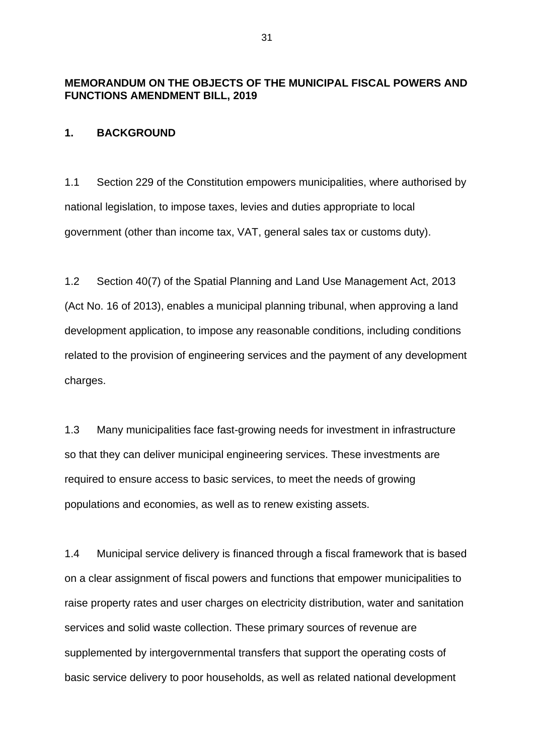# **MEMORANDUM ON THE OBJECTS OF THE MUNICIPAL FISCAL POWERS AND FUNCTIONS AMENDMENT BILL, 2019**

### **1. BACKGROUND**

1.1 Section 229 of the Constitution empowers municipalities, where authorised by national legislation, to impose taxes, levies and duties appropriate to local government (other than income tax, VAT, general sales tax or customs duty).

1.2 Section 40(7) of the Spatial Planning and Land Use Management Act, 2013 (Act No. 16 of 2013), enables a municipal planning tribunal, when approving a land development application, to impose any reasonable conditions, including conditions related to the provision of engineering services and the payment of any development charges.

1.3 Many municipalities face fast-growing needs for investment in infrastructure so that they can deliver municipal engineering services. These investments are required to ensure access to basic services, to meet the needs of growing populations and economies, as well as to renew existing assets.

1.4 Municipal service delivery is financed through a fiscal framework that is based on a clear assignment of fiscal powers and functions that empower municipalities to raise property rates and user charges on electricity distribution, water and sanitation services and solid waste collection. These primary sources of revenue are supplemented by intergovernmental transfers that support the operating costs of basic service delivery to poor households, as well as related national development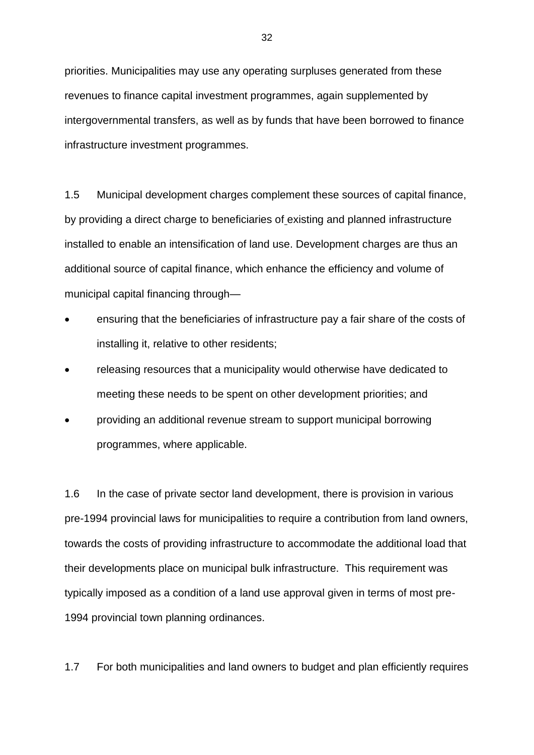priorities. Municipalities may use any operating surpluses generated from these revenues to finance capital investment programmes, again supplemented by intergovernmental transfers, as well as by funds that have been borrowed to finance infrastructure investment programmes.

1.5 Municipal development charges complement these sources of capital finance, by providing a direct charge to beneficiaries of existing and planned infrastructure installed to enable an intensification of land use. Development charges are thus an additional source of capital finance, which enhance the efficiency and volume of municipal capital financing through—

- ensuring that the beneficiaries of infrastructure pay a fair share of the costs of installing it, relative to other residents;
- releasing resources that a municipality would otherwise have dedicated to meeting these needs to be spent on other development priorities; and
- providing an additional revenue stream to support municipal borrowing programmes, where applicable.

1.6 In the case of private sector land development, there is provision in various pre-1994 provincial laws for municipalities to require a contribution from land owners, towards the costs of providing infrastructure to accommodate the additional load that their developments place on municipal bulk infrastructure. This requirement was typically imposed as a condition of a land use approval given in terms of most pre-1994 provincial town planning ordinances.

1.7 For both municipalities and land owners to budget and plan efficiently requires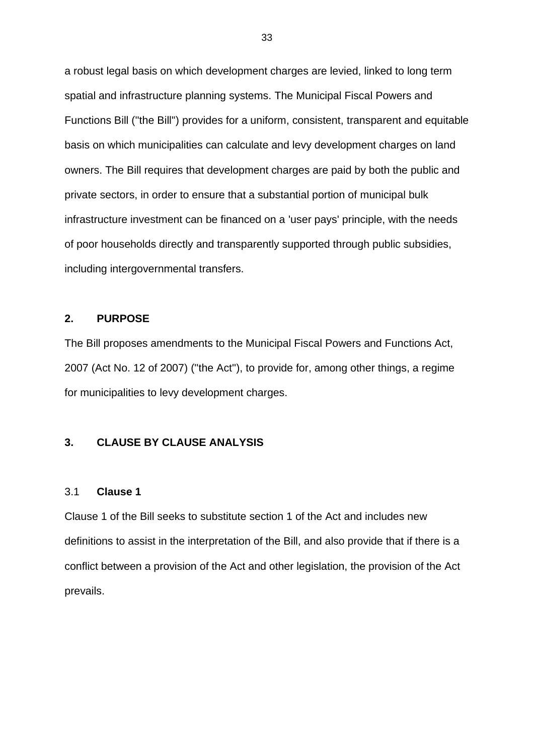a robust legal basis on which development charges are levied, linked to long term spatial and infrastructure planning systems. The Municipal Fiscal Powers and Functions Bill (''the Bill'') provides for a uniform, consistent, transparent and equitable basis on which municipalities can calculate and levy development charges on land owners. The Bill requires that development charges are paid by both the public and private sectors, in order to ensure that a substantial portion of municipal bulk infrastructure investment can be financed on a 'user pays' principle, with the needs of poor households directly and transparently supported through public subsidies, including intergovernmental transfers.

#### **2. PURPOSE**

The Bill proposes amendments to the Municipal Fiscal Powers and Functions Act, 2007 (Act No. 12 of 2007) (''the Act''), to provide for, among other things, a regime for municipalities to levy development charges.

### **3. CLAUSE BY CLAUSE ANALYSIS**

#### 3.1 **Clause 1**

Clause 1 of the Bill seeks to substitute section 1 of the Act and includes new definitions to assist in the interpretation of the Bill, and also provide that if there is a conflict between a provision of the Act and other legislation, the provision of the Act prevails.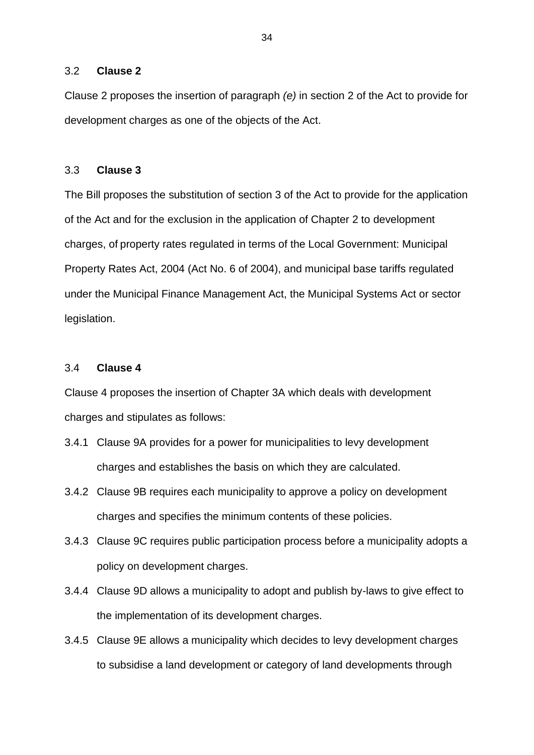#### 3.2 **Clause 2**

Clause 2 proposes the insertion of paragraph *(e)* in section 2 of the Act to provide for development charges as one of the objects of the Act.

#### 3.3 **Clause 3**

The Bill proposes the substitution of section 3 of the Act to provide for the application of the Act and for the exclusion in the application of Chapter 2 to development charges, of property rates regulated in terms of the Local Government: Municipal Property Rates Act, 2004 (Act No. 6 of 2004), and municipal base tariffs regulated under the Municipal Finance Management Act, the Municipal Systems Act or sector legislation.

#### 3.4 **Clause 4**

Clause 4 proposes the insertion of Chapter 3A which deals with development charges and stipulates as follows:

- 3.4.1 Clause 9A provides for a power for municipalities to levy development charges and establishes the basis on which they are calculated.
- 3.4.2 Clause 9B requires each municipality to approve a policy on development charges and specifies the minimum contents of these policies.
- 3.4.3 Clause 9C requires public participation process before a municipality adopts a policy on development charges.
- 3.4.4 Clause 9D allows a municipality to adopt and publish by-laws to give effect to the implementation of its development charges.
- 3.4.5 Clause 9E allows a municipality which decides to levy development charges to subsidise a land development or category of land developments through

34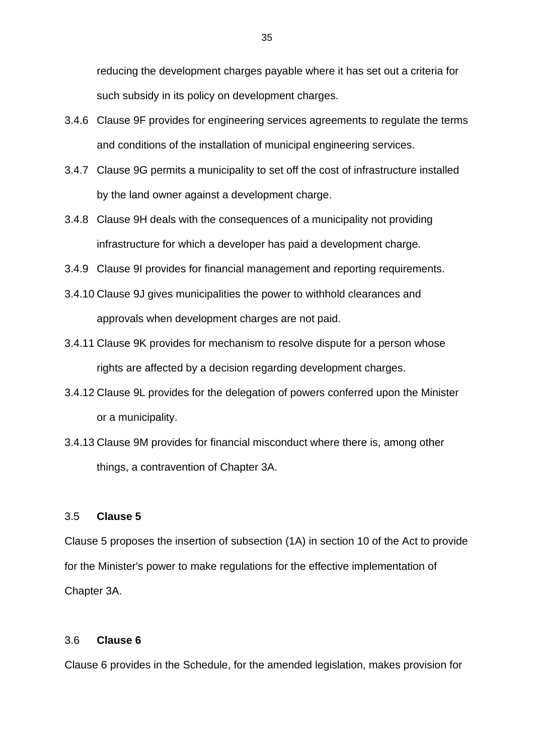reducing the development charges payable where it has set out a criteria for such subsidy in its policy on development charges.

- 3.4.6 Clause 9F provides for engineering services agreements to regulate the terms and conditions of the installation of municipal engineering services.
- 3.4.7 Clause 9G permits a municipality to set off the cost of infrastructure installed by the land owner against a development charge.
- 3.4.8 Clause 9H deals with the consequences of a municipality not providing infrastructure for which a developer has paid a development charge.
- 3.4.9 Clause 9I provides for financial management and reporting requirements.
- 3.4.10 Clause 9J gives municipalities the power to withhold clearances and approvals when development charges are not paid.
- 3.4.11 Clause 9K provides for mechanism to resolve dispute for a person whose rights are affected by a decision regarding development charges.
- 3.4.12 Clause 9L provides for the delegation of powers conferred upon the Minister or a municipality.
- 3.4.13 Clause 9M provides for financial misconduct where there is, among other things, a contravention of Chapter 3A.

#### 3.5 **Clause 5**

Clause 5 proposes the insertion of subsection (1A) in section 10 of the Act to provide for the Minister's power to make regulations for the effective implementation of Chapter 3A.

#### 3.6 **Clause 6**

Clause 6 provides in the Schedule, for the amended legislation, makes provision for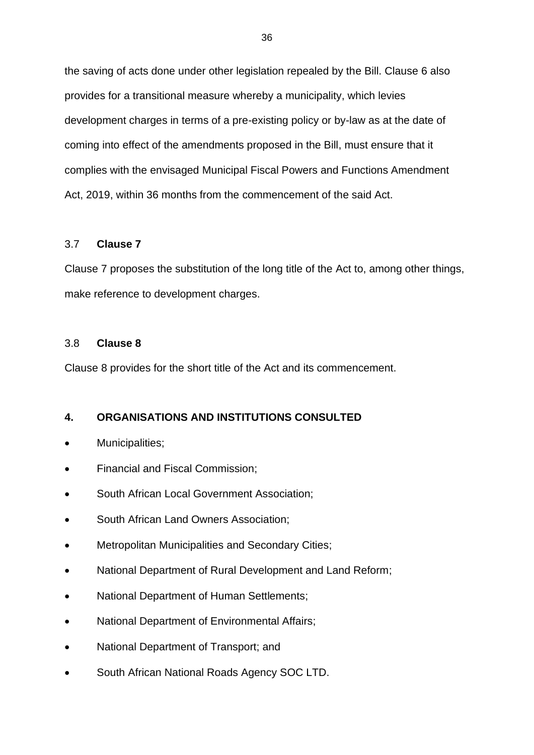the saving of acts done under other legislation repealed by the Bill. Clause 6 also provides for a transitional measure whereby a municipality, which levies development charges in terms of a pre-existing policy or by-law as at the date of coming into effect of the amendments proposed in the Bill, must ensure that it complies with the envisaged Municipal Fiscal Powers and Functions Amendment Act, 2019, within 36 months from the commencement of the said Act.

#### 3.7 **Clause 7**

Clause 7 proposes the substitution of the long title of the Act to, among other things, make reference to development charges.

#### 3.8 **Clause 8**

Clause 8 provides for the short title of the Act and its commencement.

# **4. ORGANISATIONS AND INSTITUTIONS CONSULTED**

- Municipalities;
- Financial and Fiscal Commission;
- South African Local Government Association;
- South African Land Owners Association;
- Metropolitan Municipalities and Secondary Cities;
- National Department of Rural Development and Land Reform;
- National Department of Human Settlements;
- National Department of Environmental Affairs;
- National Department of Transport; and
- South African National Roads Agency SOC LTD.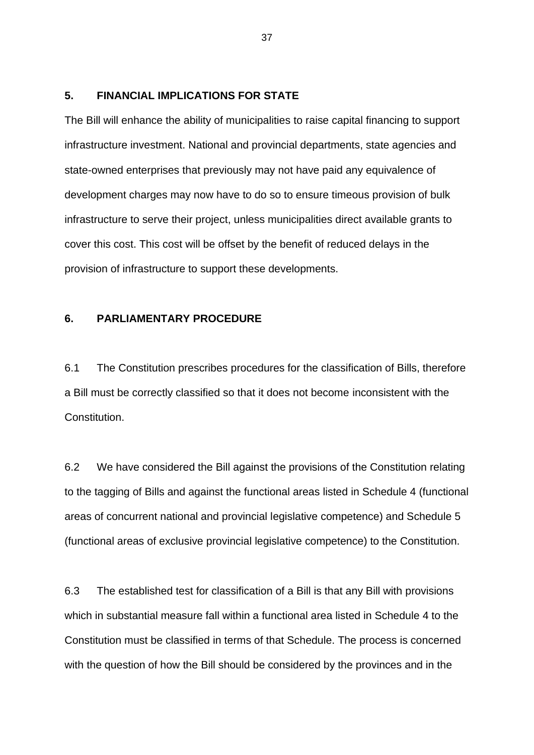#### **5. FINANCIAL IMPLICATIONS FOR STATE**

The Bill will enhance the ability of municipalities to raise capital financing to support infrastructure investment. National and provincial departments, state agencies and state-owned enterprises that previously may not have paid any equivalence of development charges may now have to do so to ensure timeous provision of bulk infrastructure to serve their project, unless municipalities direct available grants to cover this cost. This cost will be offset by the benefit of reduced delays in the provision of infrastructure to support these developments.

#### **6. PARLIAMENTARY PROCEDURE**

6.1 The Constitution prescribes procedures for the classification of Bills, therefore a Bill must be correctly classified so that it does not become inconsistent with the Constitution.

6.2 We have considered the Bill against the provisions of the Constitution relating to the tagging of Bills and against the functional areas listed in Schedule 4 (functional areas of concurrent national and provincial legislative competence) and Schedule 5 (functional areas of exclusive provincial legislative competence) to the Constitution.

6.3 The established test for classification of a Bill is that any Bill with provisions which in substantial measure fall within a functional area listed in Schedule 4 to the Constitution must be classified in terms of that Schedule. The process is concerned with the question of how the Bill should be considered by the provinces and in the

37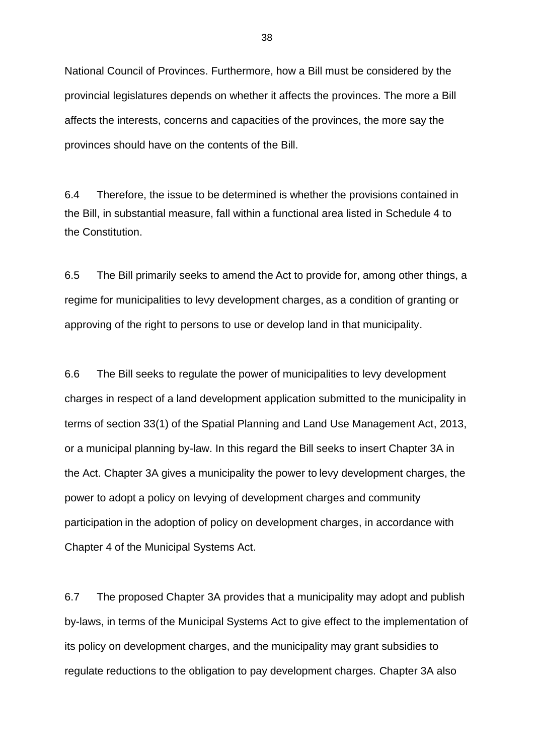National Council of Provinces. Furthermore, how a Bill must be considered by the provincial legislatures depends on whether it affects the provinces. The more a Bill affects the interests, concerns and capacities of the provinces, the more say the provinces should have on the contents of the Bill.

6.4 Therefore, the issue to be determined is whether the provisions contained in the Bill, in substantial measure, fall within a functional area listed in Schedule 4 to the Constitution.

6.5 The Bill primarily seeks to amend the Act to provide for, among other things, a regime for municipalities to levy development charges, as a condition of granting or approving of the right to persons to use or develop land in that municipality.

6.6 The Bill seeks to regulate the power of municipalities to levy development charges in respect of a land development application submitted to the municipality in terms of section 33(1) of the Spatial Planning and Land Use Management Act, 2013, or a municipal planning by-law. In this regard the Bill seeks to insert Chapter 3A in the Act. Chapter 3A gives a municipality the power to levy development charges, the power to adopt a policy on levying of development charges and community participation in the adoption of policy on development charges, in accordance with Chapter 4 of the Municipal Systems Act.

6.7 The proposed Chapter 3A provides that a municipality may adopt and publish by-laws, in terms of the Municipal Systems Act to give effect to the implementation of its policy on development charges, and the municipality may grant subsidies to regulate reductions to the obligation to pay development charges. Chapter 3A also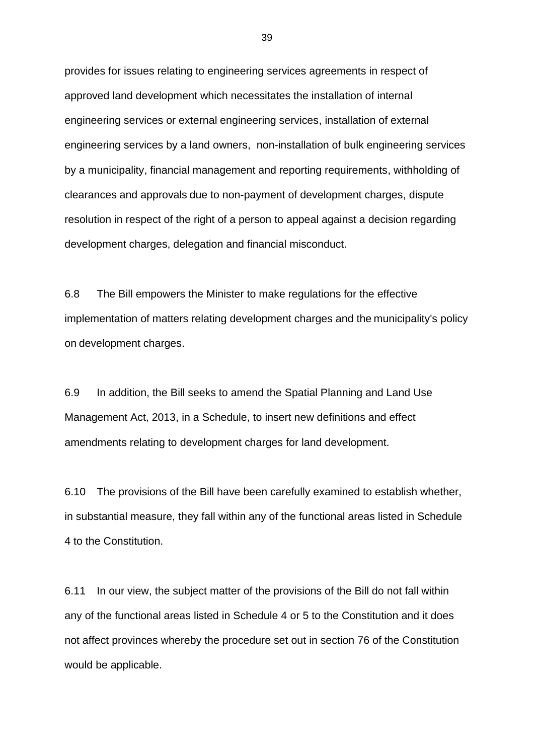provides for issues relating to engineering services agreements in respect of approved land development which necessitates the installation of internal engineering services or external engineering services, installation of external engineering services by a land owners, non-installation of bulk engineering services by a municipality, financial management and reporting requirements, withholding of clearances and approvals due to non-payment of development charges, dispute resolution in respect of the right of a person to appeal against a decision regarding development charges, delegation and financial misconduct.

6.8 The Bill empowers the Minister to make regulations for the effective implementation of matters relating development charges and the municipality's policy on development charges.

6.9 In addition, the Bill seeks to amend the Spatial Planning and Land Use Management Act, 2013, in a Schedule, to insert new definitions and effect amendments relating to development charges for land development.

6.10 The provisions of the Bill have been carefully examined to establish whether, in substantial measure, they fall within any of the functional areas listed in Schedule 4 to the Constitution.

6.11 In our view, the subject matter of the provisions of the Bill do not fall within any of the functional areas listed in Schedule 4 or 5 to the Constitution and it does not affect provinces whereby the procedure set out in section 76 of the Constitution would be applicable.